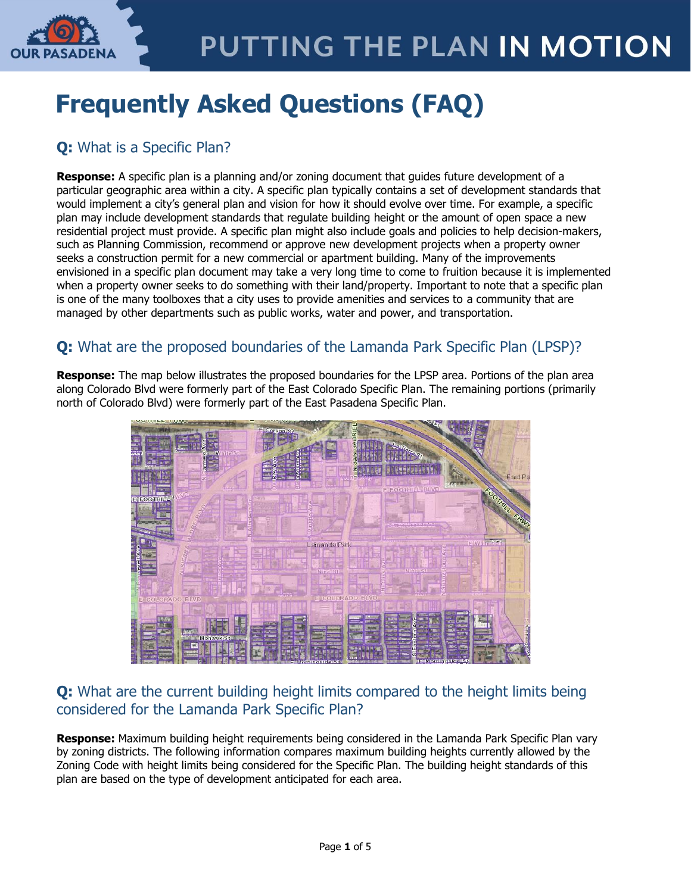

# **Frequently Asked Questions (FAQ)**

# **Q:** What is a Specific Plan?

**Response:** A specific plan is a planning and/or zoning document that guides future development of a particular geographic area within a city. A specific plan typically contains a set of development standards that would implement a city's general plan and vision for how it should evolve over time. For example, a specific plan may include development standards that regulate building height or the amount of open space a new residential project must provide. A specific plan might also include goals and policies to help decision-makers, such as Planning Commission, recommend or approve new development projects when a property owner seeks a construction permit for a new commercial or apartment building. Many of the improvements envisioned in a specific plan document may take a very long time to come to fruition because it is implemented when a property owner seeks to do something with their land/property. Important to note that a specific plan is one of the many toolboxes that a city uses to provide amenities and services to a community that are managed by other departments such as public works, water and power, and transportation.

## **Q:** What are the proposed boundaries of the Lamanda Park Specific Plan (LPSP)?

**Response:** The map below illustrates the proposed boundaries for the LPSP area. Portions of the plan area along Colorado Blvd were formerly part of the East Colorado Specific Plan. The remaining portions (primarily north of Colorado Blvd) were formerly part of the East Pasadena Specific Plan.



### **Q:** What are the current building height limits compared to the height limits being considered for the Lamanda Park Specific Plan?

**Response:** Maximum building height requirements being considered in the Lamanda Park Specific Plan vary by zoning districts. The following information compares maximum building heights currently allowed by the Zoning Code with height limits being considered for the Specific Plan. The building height standards of this plan are based on the type of development anticipated for each area.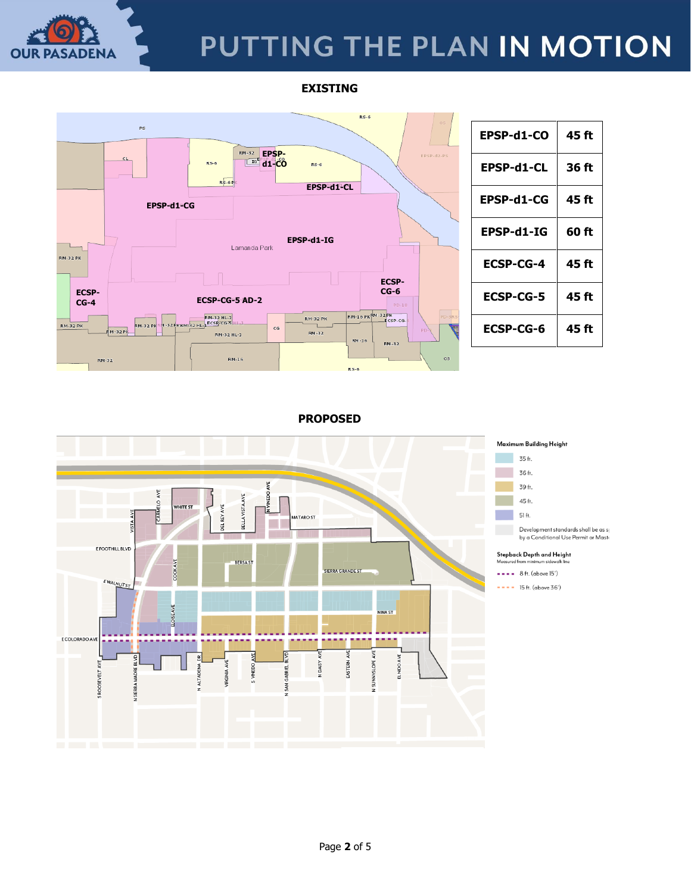

# PUTTING THE PLAN IN MOTION

**EXISTING**



**PROPOSED**

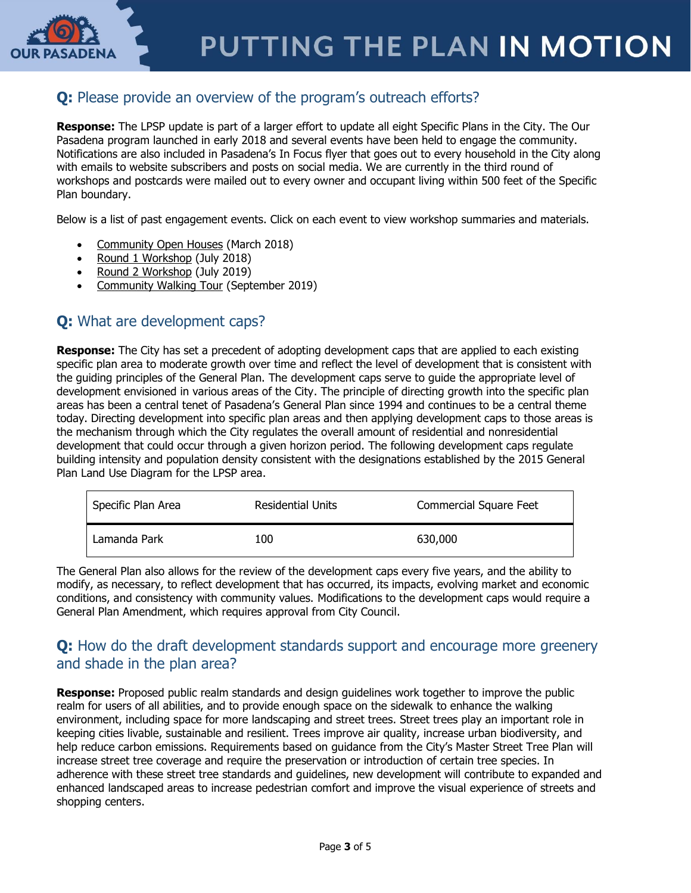

#### **Q:** Please provide an overview of the program's outreach efforts?

**Response:** The LPSP update is part of a larger effort to update all eight Specific Plans in the City. The Our Pasadena program launched in early 2018 and several events have been held to engage the community. Notifications are also included in Pasadena's In Focus flyer that goes out to every household in the City along with emails to website subscribers and posts on social media. We are currently in the third round of workshops and postcards were mailed out to every owner and occupant living within 500 feet of the Specific Plan boundary.

Below is a list of past engagement events. Click on each event to view workshop summaries and materials.

- [Community Open Houses](https://www.ourpasadena.org/march-open-houses) (March 2018)
- [Round 1 Workshop](https://www.ourpasadena.org/LP-Round1-Materials) (July 2018)
- [Round 2 Workshop](https://www.ourpasadena.org/Lamanda-Round2-WorkshopMaterials) (July 2019)
- [Community Walking Tour](https://www.ourpasadena.org/Lamanda-Park-Walking-Tour) (September 2019)

### **Q:** What are development caps?

**Response:** The City has set a precedent of adopting development caps that are applied to each existing specific plan area to moderate growth over time and reflect the level of development that is consistent with the guiding principles of the General Plan. The development caps serve to guide the appropriate level of development envisioned in various areas of the City. The principle of directing growth into the specific plan areas has been a central tenet of Pasadena's General Plan since 1994 and continues to be a central theme today. Directing development into specific plan areas and then applying development caps to those areas is the mechanism through which the City regulates the overall amount of residential and nonresidential development that could occur through a given horizon period. The following development caps regulate building intensity and population density consistent with the designations established by the 2015 General Plan Land Use Diagram for the LPSP area.

| Specific Plan Area | Residential Units | <b>Commercial Square Feet</b> |
|--------------------|-------------------|-------------------------------|
| Lamanda Park       | 100               | 630,000                       |

The General Plan also allows for the review of the development caps every five years, and the ability to modify, as necessary, to reflect development that has occurred, its impacts, evolving market and economic conditions, and consistency with community values. Modifications to the development caps would require a General Plan Amendment, which requires approval from City Council.

#### **Q:** How do the draft development standards support and encourage more greenery and shade in the plan area?

**Response:** Proposed public realm standards and design guidelines work together to improve the public realm for users of all abilities, and to provide enough space on the sidewalk to enhance the walking environment, including space for more landscaping and street trees. Street trees play an important role in keeping cities livable, sustainable and resilient. Trees improve air quality, increase urban biodiversity, and help reduce carbon emissions. Requirements based on guidance from the City's Master Street Tree Plan will increase street tree coverage and require the preservation or introduction of certain tree species. In adherence with these street tree standards and guidelines, new development will contribute to expanded and enhanced landscaped areas to increase pedestrian comfort and improve the visual experience of streets and shopping centers.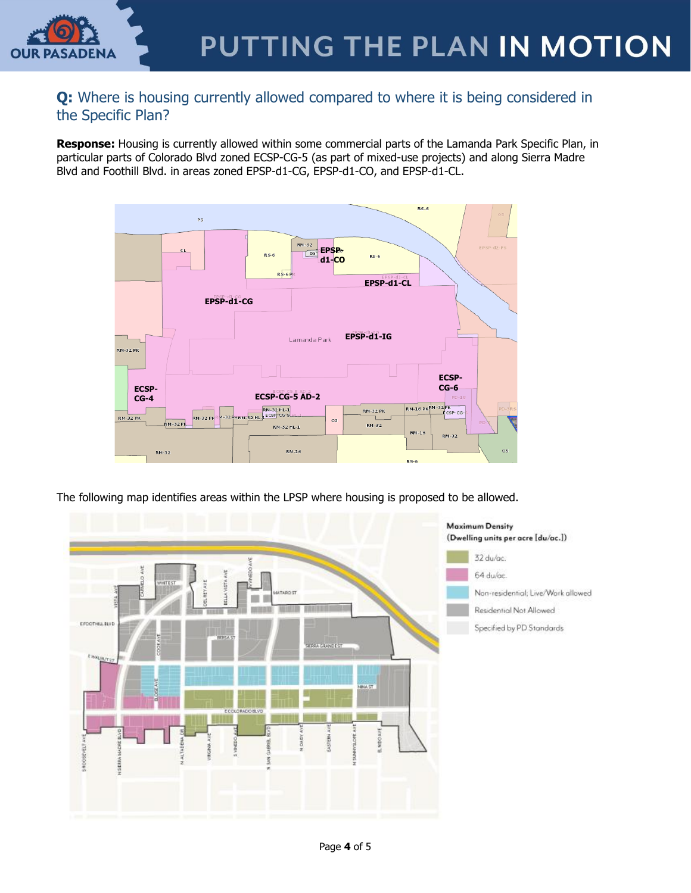

## **Q:** Where is housing currently allowed compared to where it is being considered in the Specific Plan?

**Response:** Housing is currently allowed within some commercial parts of the Lamanda Park Specific Plan, in particular parts of Colorado Blvd zoned ECSP-CG-5 (as part of mixed-use projects) and along Sierra Madre Blvd and Foothill Blvd. in areas zoned EPSP-d1-CG, EPSP-d1-CO, and EPSP-d1-CL.



The following map identifies areas within the LPSP where housing is proposed to be allowed.